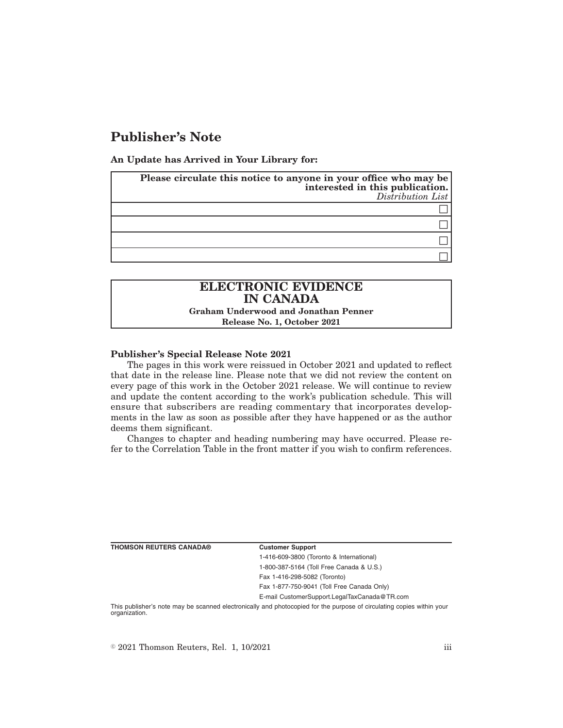## **Publisher's Note**

**An Update has Arrived in Your Library for:**

| Please circulate this notice to anyone in your office who may be<br>interested in this publication. | Distribution List |
|-----------------------------------------------------------------------------------------------------|-------------------|
|                                                                                                     |                   |
|                                                                                                     |                   |
|                                                                                                     |                   |
|                                                                                                     |                   |

# **ELECTRONIC EVIDENCE IN CANADA**

**Graham Underwood and Jonathan Penner Release No. 1, October 2021**

#### **Publisher's Special Release Note 2021**

The pages in this work were reissued in October 2021 and updated to reflect that date in the release line. Please note that we did not review the content on every page of this work in the October 2021 release. We will continue to review and update the content according to the work's publication schedule. This will ensure that subscribers are reading commentary that incorporates developments in the law as soon as possible after they have happened or as the author deems them significant.

Changes to chapter and heading numbering may have occurred. Please refer to the Correlation Table in the front matter if you wish to confirm references.

| <b>THOMSON REUTERS CANADA®</b> | <b>Customer Support</b>                  |
|--------------------------------|------------------------------------------|
|                                | 1-416-609-3800 (Toronto & International) |
|                                | 1-800-387-5164 (Toll Free Canada & U.S.) |
|                                | Fax 1-416-298-5082 (Toronto)             |
|                                |                                          |

Fax 1-877-750-9041 (Toll Free Canada Only)

E-mail CustomerSupport.LegalTaxCanada@TR.com

This publisher's note may be scanned electronically and photocopied for the purpose of circulating copies within your organization.

 $\degree$  2021 Thomson Reuters, Rel. 1, 10/2021 iii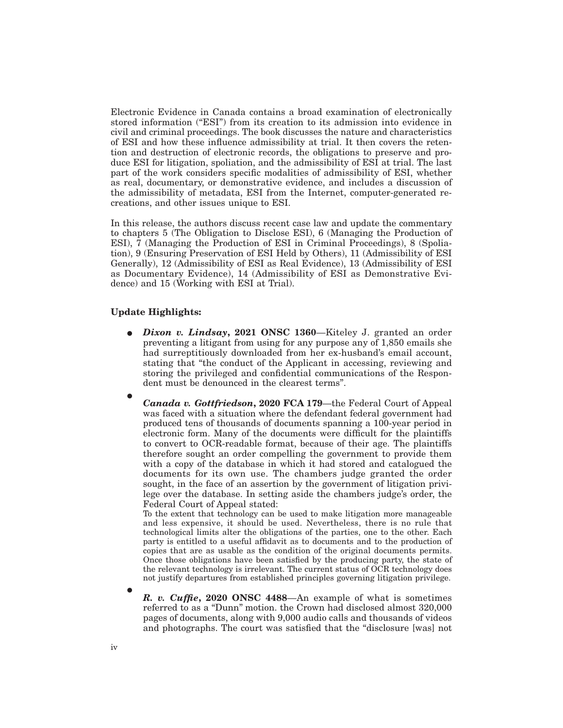Electronic Evidence in Canada contains a broad examination of electronically stored information ("ESI") from its creation to its admission into evidence in civil and criminal proceedings. The book discusses the nature and characteristics of ESI and how these influence admissibility at trial. It then covers the retention and destruction of electronic records, the obligations to preserve and produce ESI for litigation, spoliation, and the admissibility of ESI at trial. The last part of the work considers specific modalities of admissibility of ESI, whether as real, documentary, or demonstrative evidence, and includes a discussion of the admissibility of metadata, ESI from the Internet, computer-generated recreations, and other issues unique to ESI.

In this release, the authors discuss recent case law and update the commentary to chapters 5 (The Obligation to Disclose ESI), 6 (Managing the Production of ESI), 7 (Managing the Production of ESI in Criminal Proceedings), 8 (Spoliation), 9 (Ensuring Preservation of ESI Held by Others), 11 (Admissibility of ESI Generally), 12 (Admissibility of ESI as Real Evidence), 13 (Admissibility of ESI as Documentary Evidence), 14 (Admissibility of ESI as Demonstrative Evidence) and 15 (Working with ESI at Trial).

#### **Update Highlights:**

- E *Dixon v. Lindsay***, 2021 ONSC 1360**—Kiteley J. granted an order preventing a litigant from using for any purpose any of 1,850 emails she had surreptitiously downloaded from her ex-husband's email account, stating that "the conduct of the Applicant in accessing, reviewing and storing the privileged and confidential communications of the Respondent must be denounced in the clearest terms".
- $\bullet$

*Canada v. Gottfriedson***, 2020 FCA 179**—the Federal Court of Appeal was faced with a situation where the defendant federal government had produced tens of thousands of documents spanning a 100-year period in electronic form. Many of the documents were difficult for the plaintiffs to convert to OCR-readable format, because of their age. The plaintiffs therefore sought an order compelling the government to provide them with a copy of the database in which it had stored and catalogued the documents for its own use. The chambers judge granted the order sought, in the face of an assertion by the government of litigation privilege over the database. In setting aside the chambers judge's order, the Federal Court of Appeal stated:

To the extent that technology can be used to make litigation more manageable and less expensive, it should be used. Nevertheless, there is no rule that technological limits alter the obligations of the parties, one to the other. Each party is entitled to a useful affidavit as to documents and to the production of copies that are as usable as the condition of the original documents permits. Once those obligations have been satisfied by the producing party, the state of the relevant technology is irrelevant. The current status of OCR technology does not justify departures from established principles governing litigation privilege.

 $\bullet$ *R. v. Cuffie***, 2020 ONSC 4488**—An example of what is sometimes referred to as a ''Dunn'' motion. the Crown had disclosed almost 320,000 pages of documents, along with 9,000 audio calls and thousands of videos and photographs. The court was satisfied that the "disclosure [was] not